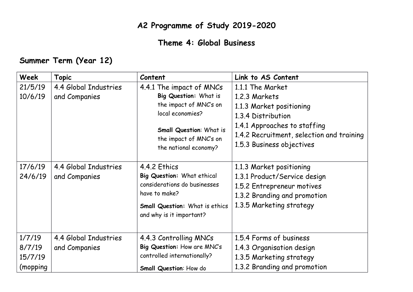## **A2 Programme of Study 2019-2020**

## **Theme 4: Global Business**

## **Summer Term (Year 12)**

| Week      | <b>Topic</b>          | Content                                                  | Link to AS Content                        |
|-----------|-----------------------|----------------------------------------------------------|-------------------------------------------|
| 21/5/19   | 4.4 Global Industries | 4.4.1 The impact of MNCs                                 | 1.1.1 The Market                          |
| 10/6/19   | and Companies         | Big Question: What is                                    | 1.2.3 Markets                             |
|           |                       | the impact of MNC's on<br>local economies?               | 1.1.3 Market positioning                  |
|           |                       |                                                          | 1.3.4 Distribution                        |
|           |                       | <b>Small Question: What is</b><br>the impact of MNC's on | 1.4.1 Approaches to staffing              |
|           |                       |                                                          | 1.4.2 Recruitment, selection and training |
|           |                       | the national economy?                                    | 1.5.3 Business objectives                 |
|           |                       |                                                          |                                           |
| 17/6/19   | 4.4 Global Industries | 4.4.2 Ethics                                             | 1.1.3 Market positioning                  |
| 24/6/19   | and Companies         | Big Question: What ethical                               | 1.3.1 Product/Service design              |
|           |                       | considerations do businesses                             | 1.5.2 Entrepreneur motives                |
|           |                       | have to make?                                            | 1.3.2 Branding and promotion              |
|           |                       | Small Question: What is ethics                           | 1.3.5 Marketing strategy                  |
|           |                       | and why is it important?                                 |                                           |
|           |                       |                                                          |                                           |
| 1/7/19    | 4.4 Global Industries | 4.4.3 Controlling MNCs                                   | 1.5.4 Forms of business                   |
| 8/7/19    | and Companies         | Big Question: How are MNC's                              | 1.4.3 Organisation design                 |
| 15/7/19   |                       | controlled internationally?                              | 1.3.5 Marketing strategy                  |
| (mopping) |                       | <b>Small Question: How do</b>                            | 1.3.2 Branding and promotion              |